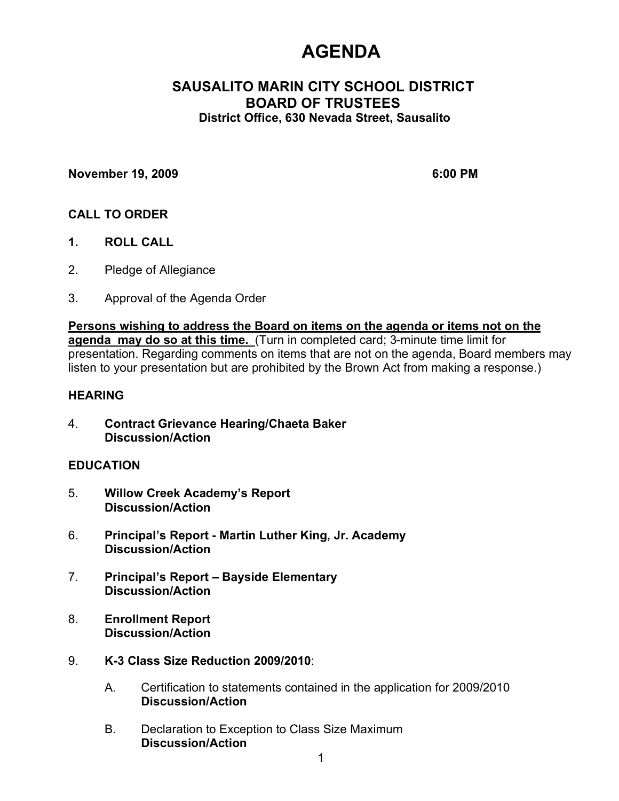# **AGENDA**

# **SAUSALITO MARIN CITY SCHOOL DISTRICT BOARD OF TRUSTEES District Office, 630 Nevada Street, Sausalito**

### **November 19, 2009 6:00 PM**

### **CALL TO ORDER**

- **1. ROLL CALL**
- 2. Pledge of Allegiance
- 3. Approval of the Agenda Order

**Persons wishing to address the Board on items on the agenda or items not on the agenda may do so at this time.** (Turn in completed card; 3-minute time limit for presentation. Regarding comments on items that are not on the agenda, Board members may listen to your presentation but are prohibited by the Brown Act from making a response.)

### **HEARING**

4. **Contract Grievance Hearing/Chaeta Baker Discussion/Action**

### **EDUCATION**

- 5. **Willow Creek Academy's Report Discussion/Action**
- 6. **Principal's Report - Martin Luther King, Jr. Academy Discussion/Action**
- 7. **Principal's Report Bayside Elementary Discussion/Action**
- 8. **Enrollment Report Discussion/Action**
- 9. **K-3 Class Size Reduction 2009/2010**:
	- A. Certification to statements contained in the application for 2009/2010 **Discussion/Action**
	- B. Declaration to Exception to Class Size Maximum **Discussion/Action**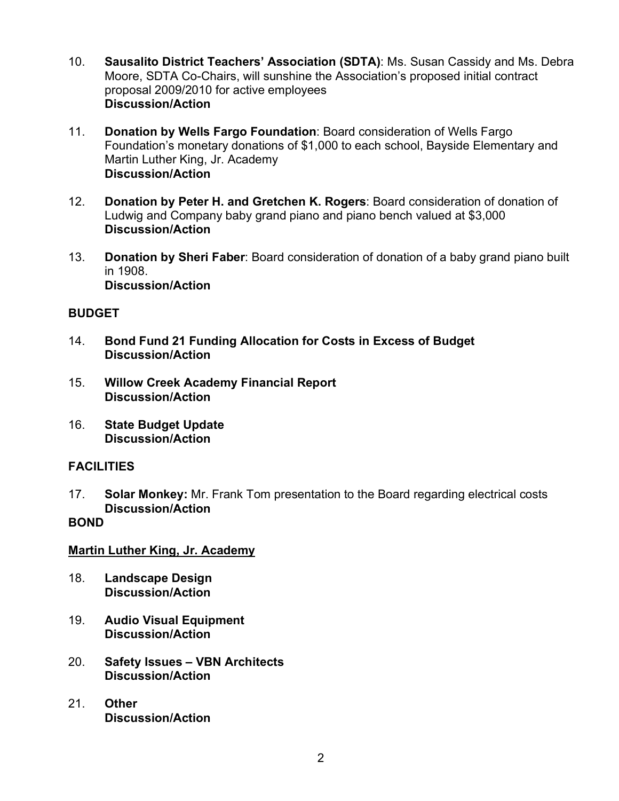- 10. **Sausalito District Teachers' Association (SDTA)**: Ms. Susan Cassidy and Ms. Debra Moore, SDTA Co-Chairs, will sunshine the Association's proposed initial contract proposal 2009/2010 for active employees **Discussion/Action**
- 11. **Donation by Wells Fargo Foundation**: Board consideration of Wells Fargo Foundation's monetary donations of \$1,000 to each school, Bayside Elementary and Martin Luther King, Jr. Academy **Discussion/Action**
- 12. **Donation by Peter H. and Gretchen K. Rogers**: Board consideration of donation of Ludwig and Company baby grand piano and piano bench valued at \$3,000 **Discussion/Action**
- 13. **Donation by Sheri Faber**: Board consideration of donation of a baby grand piano built in 1908. **Discussion/Action**

# **BUDGET**

- 14. **Bond Fund 21 Funding Allocation for Costs in Excess of Budget Discussion/Action**
- 15. **Willow Creek Academy Financial Report Discussion/Action**
- 16. **State Budget Update Discussion/Action**

# **FACILITIES**

17. **Solar Monkey:** Mr. Frank Tom presentation to the Board regarding electrical costs **Discussion/Action**

# **BOND**

# **Martin Luther King, Jr. Academy**

- 18. **Landscape Design Discussion/Action**
- 19. **Audio Visual Equipment Discussion/Action**
- 20. **Safety Issues – VBN Architects Discussion/Action**
- 21. **Other Discussion/Action**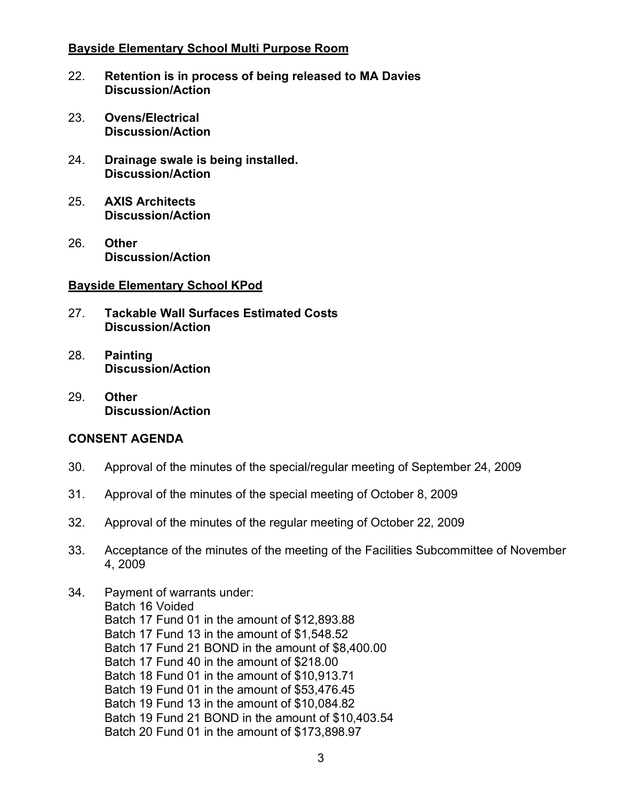### **Bayside Elementary School Multi Purpose Room**

- 22. **Retention is in process of being released to MA Davies Discussion/Action**
- 23. **Ovens/Electrical Discussion/Action**
- 24. **Drainage swale is being installed. Discussion/Action**
- 25. **AXIS Architects Discussion/Action**
- 26. **Other Discussion/Action**

### **Bayside Elementary School KPod**

- 27. **Tackable Wall Surfaces Estimated Costs Discussion/Action**
- 28. **Painting Discussion/Action**
- 29. **Other Discussion/Action**

# **CONSENT AGENDA**

- 30. Approval of the minutes of the special/regular meeting of September 24, 2009
- 31. Approval of the minutes of the special meeting of October 8, 2009
- 32. Approval of the minutes of the regular meeting of October 22, 2009
- 33. Acceptance of the minutes of the meeting of the Facilities Subcommittee of November 4, 2009
- 34. Payment of warrants under: Batch 16 Voided Batch 17 Fund 01 in the amount of \$12,893.88 Batch 17 Fund 13 in the amount of \$1,548.52 Batch 17 Fund 21 BOND in the amount of \$8,400.00 Batch 17 Fund 40 in the amount of \$218.00 Batch 18 Fund 01 in the amount of \$10,913.71 Batch 19 Fund 01 in the amount of \$53,476.45 Batch 19 Fund 13 in the amount of \$10,084.82 Batch 19 Fund 21 BOND in the amount of \$10,403.54 Batch 20 Fund 01 in the amount of \$173,898.97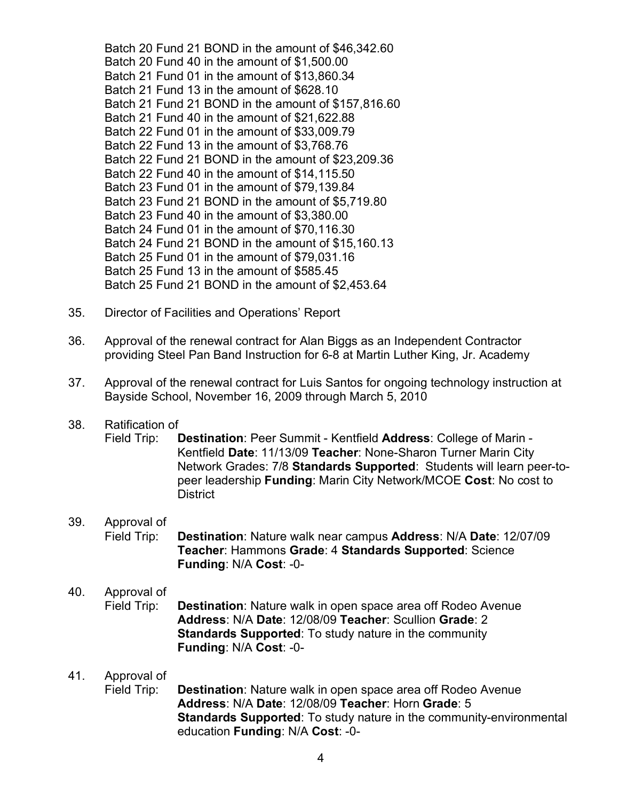Batch 20 Fund 21 BOND in the amount of \$46,342.60 Batch 20 Fund 40 in the amount of \$1,500.00 Batch 21 Fund 01 in the amount of \$13,860.34 Batch 21 Fund 13 in the amount of \$628.10 Batch 21 Fund 21 BOND in the amount of \$157,816.60 Batch 21 Fund 40 in the amount of \$21,622.88 Batch 22 Fund 01 in the amount of \$33,009.79 Batch 22 Fund 13 in the amount of \$3,768.76 Batch 22 Fund 21 BOND in the amount of \$23,209.36 Batch 22 Fund 40 in the amount of \$14,115.50 Batch 23 Fund 01 in the amount of \$79,139.84 Batch 23 Fund 21 BOND in the amount of \$5,719.80 Batch 23 Fund 40 in the amount of \$3,380.00 Batch 24 Fund 01 in the amount of \$70,116.30 Batch 24 Fund 21 BOND in the amount of \$15,160.13 Batch 25 Fund 01 in the amount of \$79,031.16 Batch 25 Fund 13 in the amount of \$585.45 Batch 25 Fund 21 BOND in the amount of \$2,453.64

- 35. Director of Facilities and Operations' Report
- 36. Approval of the renewal contract for Alan Biggs as an Independent Contractor providing Steel Pan Band Instruction for 6-8 at Martin Luther King, Jr. Academy
- 37. Approval of the renewal contract for Luis Santos for ongoing technology instruction at Bayside School, November 16, 2009 through March 5, 2010

#### 38. Ratification of

Field Trip: **Destination**: Peer Summit - Kentfield **Address**: College of Marin - Kentfield **Date**: 11/13/09 **Teacher**: None-Sharon Turner Marin City Network Grades: 7/8 **Standards Supported**: Students will learn peer-topeer leadership **Funding**: Marin City Network/MCOE **Cost**: No cost to District

#### 39. Approval of

Field Trip: **Destination**: Nature walk near campus **Address**: N/A **Date**: 12/07/09 **Teacher**: Hammons **Grade**: 4 **Standards Supported**: Science **Funding**: N/A **Cost**: -0-

# 40. Approval of

Field Trip: **Destination**: Nature walk in open space area off Rodeo Avenue **Address**: N/A **Date**: 12/08/09 **Teacher**: Scullion **Grade**: 2 **Standards Supported**: To study nature in the community **Funding**: N/A **Cost**: -0-

### 41. Approval of

Field Trip: **Destination**: Nature walk in open space area off Rodeo Avenue **Address**: N/A **Date**: 12/08/09 **Teacher**: Horn **Grade**: 5 **Standards Supported**: To study nature in the community-environmental education **Funding**: N/A **Cost**: -0-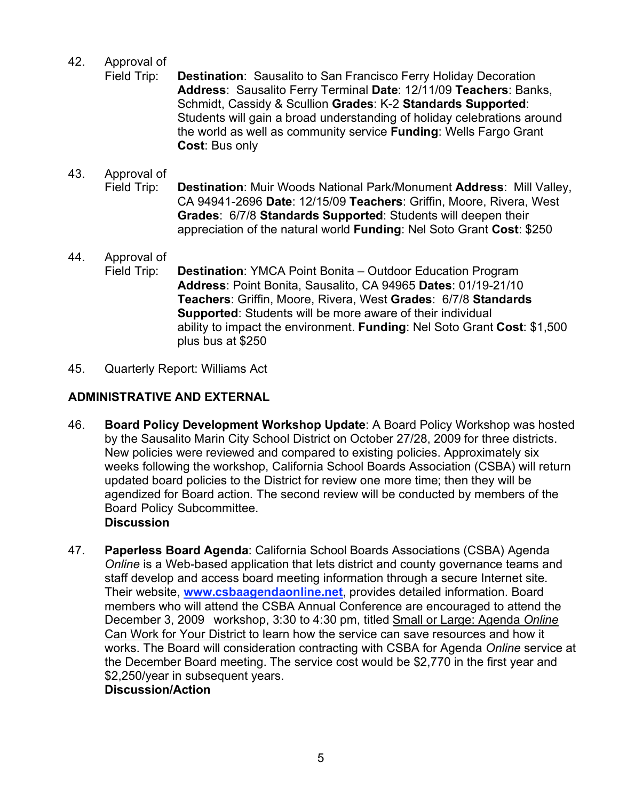## 42. Approval of

Field Trip: **Destination**: Sausalito to San Francisco Ferry Holiday Decoration **Address**: Sausalito Ferry Terminal **Date**: 12/11/09 **Teachers**: Banks, Schmidt, Cassidy & Scullion **Grades**: K-2 **Standards Supported**: Students will gain a broad understanding of holiday celebrations around the world as well as community service **Funding**: Wells Fargo Grant **Cost**: Bus only

# 43. Approval of Field Trip: **Destination**: Muir Woods National Park/Monument **Address**: Mill Valley, CA 94941-2696 **Date**: 12/15/09 **Teachers**: Griffin, Moore, Rivera, West **Grades**: 6/7/8 **Standards Supported**: Students will deepen their appreciation of the natural world **Funding**: Nel Soto Grant **Cost**: \$250

- 44. Approval of Field Trip: **Destination**: YMCA Point Bonita – Outdoor Education Program **Address**: Point Bonita, Sausalito, CA 94965 **Dates**: 01/19-21/10 **Teachers**: Griffin, Moore, Rivera, West **Grades**: 6/7/8 **Standards Supported**: Students will be more aware of their individual ability to impact the environment. **Funding**: Nel Soto Grant **Cost**: \$1,500 plus bus at \$250
- 45. Quarterly Report: Williams Act

# **ADMINISTRATIVE AND EXTERNAL**

- 46. **Board Policy Development Workshop Update**: A Board Policy Workshop was hosted by the Sausalito Marin City School District on October 27/28, 2009 for three districts. New policies were reviewed and compared to existing policies. Approximately six weeks following the workshop, California School Boards Association (CSBA) will return updated board policies to the District for review one more time; then they will be agendized for Board action. The second review will be conducted by members of the Board Policy Subcommittee. **Discussion**
- 47. **Paperless Board Agenda**: California School Boards Associations (CSBA) Agenda *Online* is a Web-based application that lets district and county governance teams and staff develop and access board meeting information through a secure Internet site. Their website, **www.csbaagendaonline.net**, provides detailed information. Board members who will attend the CSBA Annual Conference are encouraged to attend the December 3, 2009 workshop, 3:30 to 4:30 pm, titled Small or Large: Agenda *Online* Can Work for Your District to learn how the service can save resources and how it works. The Board will consideration contracting with CSBA for Agenda *Online* service at the December Board meeting. The service cost would be \$2,770 in the first year and \$2,250/year in subsequent years.

# **Discussion/Action**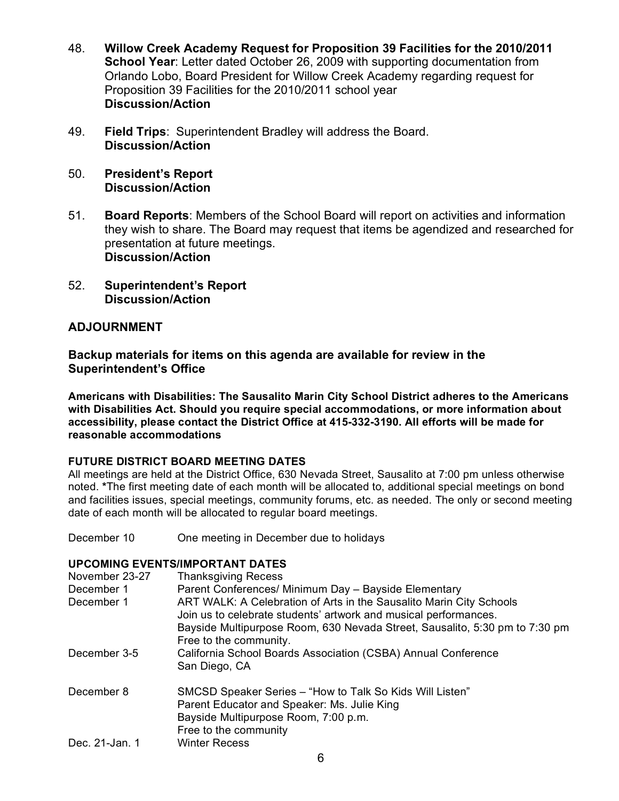- 48. **Willow Creek Academy Request for Proposition 39 Facilities for the 2010/2011 School Year**: Letter dated October 26, 2009 with supporting documentation from Orlando Lobo, Board President for Willow Creek Academy regarding request for Proposition 39 Facilities for the 2010/2011 school year **Discussion/Action**
- 49. **Field Trips**:Superintendent Bradley will address the Board. **Discussion/Action**
- 50. **President's Report Discussion/Action**
- 51. **Board Reports**: Members of the School Board will report on activities and information they wish to share. The Board may request that items be agendized and researched for presentation at future meetings. **Discussion/Action**
- 52. **Superintendent's Report Discussion/Action**

# **ADJOURNMENT**

### **Backup materials for items on this agenda are available for review in the Superintendent's Office**

**Americans with Disabilities: The Sausalito Marin City School District adheres to the Americans with Disabilities Act. Should you require special accommodations, or more information about accessibility, please contact the District Office at 415-332-3190. All efforts will be made for reasonable accommodations**

### **FUTURE DISTRICT BOARD MEETING DATES**

All meetings are held at the District Office, 630 Nevada Street, Sausalito at 7:00 pm unless otherwise noted. **\***The first meeting date of each month will be allocated to, additional special meetings on bond and facilities issues, special meetings, community forums, etc. as needed. The only or second meeting date of each month will be allocated to regular board meetings.

December 10 One meeting in December due to holidays

### **UPCOMING EVENTS/IMPORTANT DATES**

| November 23-27<br>December 1<br>December 1 | <b>Thanksgiving Recess</b><br>Parent Conferences/ Minimum Day - Bayside Elementary<br>ART WALK: A Celebration of Arts in the Sausalito Marin City Schools<br>Join us to celebrate students' artwork and musical performances.<br>Bayside Multipurpose Room, 630 Nevada Street, Sausalito, 5:30 pm to 7:30 pm<br>Free to the community. |
|--------------------------------------------|----------------------------------------------------------------------------------------------------------------------------------------------------------------------------------------------------------------------------------------------------------------------------------------------------------------------------------------|
| December 3-5                               | California School Boards Association (CSBA) Annual Conference<br>San Diego, CA                                                                                                                                                                                                                                                         |
| December 8                                 | SMCSD Speaker Series – "How to Talk So Kids Will Listen"<br>Parent Educator and Speaker: Ms. Julie King<br>Bayside Multipurpose Room, 7:00 p.m.<br>Free to the community                                                                                                                                                               |
| Dec. 21-Jan. 1                             | <b>Winter Recess</b>                                                                                                                                                                                                                                                                                                                   |